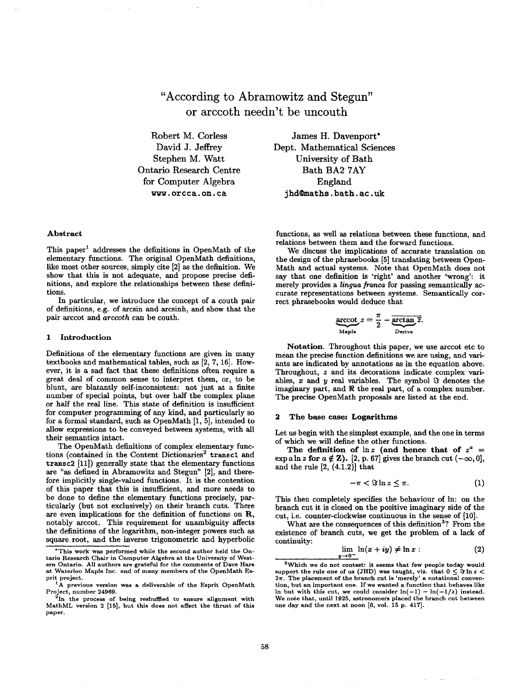**"According to Abramowitz and Stegun" or arccoth needn't be uncouth** 

Robert M. Corless David J. Jeffrey Stephen M. Watt Ontario Research Centre for Computer Algebra www.orcca.on.ca

James H. Davenport\* Dept. Mathematical Sciences University of Bath Bath BA2 7AY England jhd@maths, bath. ac, uk

## **Abstract**

This paper<sup>1</sup> addresses the definitions in OpenMath of the elementary functions. The original OpenMath definitions, like most other sources, simply cite [2] as the definition. We show that this is not adequate, and propose precise definitions, and explore the relationships between these definitions.

In particular, we introduce the concept of a couth pair of definitions, e.g. of arcsin and arcsinh, and show that the pair axccot and *arccoth* can be couth.

#### 1 **Introduction**

Definitions of the elementary functions are given in many textbooks and mathematical tables, such as [2, 7, 16]. However, it is a sad fact that these definitions often require a great deal of common sense to interpret them, or, to be blunt, are blatantly self-inconsistent: not just at a finite number of special points, but over half the complex plane or half the real line. This state of definition is insufficient for computer programming of any kind, and particularly so for a formal standard, such as OpenMath [1, 5], intended to allow expressions to be conveyed between systems, with all their semantics intact.

The OpenMath definitions of complex elementary functions (contained in the Content Dictionaries<sup>2</sup> transc1 and  $transc2$  [11]) generally state that the elementary functions are "as defined in Abramowitz and Stegun" [2], and therefore implicitly single-valued functions. It is the contention of this paper that this is insufficient, and more needs to be done to define the elementary functions precisely, particulaxly (but not exclusively) on their branch cuts. There are even implications for the definition of functions on  $R$ , notably arccot. This requirement for unambiguity affects the definitions of the logarithm, non-integer powers such as square root, and the inverse trigonometric and hyperbolic

functions, as well as relations between these functions, and relations between them and the forward functions.

We discuss the implications of accurate translation on the design of the phrasebooks [5] translating between Open-Math and actual systems. Note that OpenMath does not say that one definition is 'right' and another 'wrong': it merely provides a *lingua francs* for passing semantically accurate representations between systems. Semantically correct phrasebooks would deduce that

$$
\frac{\text{arccot}}{\text{Maple}}z = \frac{\pi}{2} - \frac{\text{arctan}\overline{z}}{\text{Derive}}.
$$

**Notation.** Throughout this paper, we use arccot etc to mean the precise function definitions we are using, and variants are indicated by annotations as in the equation above. Throughout, z and its decorations indicate complex variables,  $x$  and  $y$  real variables. The symbol  $\Im$  denotes the imaginary part, and  $\Re$  the real part, of a complex number. The precise OpenMath proposals are listed at the end.

## **2 The base case:** Logarithms

Let us begin with the simplest example, and the one in terms of which we will define the other functions.

The definition of  $\ln z$  (and hence that of  $z^a$  =  $\exp a \ln z$  for  $a \notin \mathbb{Z}$ ). [2, p. 67] gives the branch cut  $(-\infty, 0]$ , and the rule  $[2, (4.1.2)]$  that

$$
-\pi < \Im \ln z \leq \pi. \tag{1}
$$

This then completely specifies the behaviour of In: on the branch cut it is closed on the positive imaginary side of the cut, i.e. counter-clockwise continuous in the sense of [10].

What are the consequences of this definition<sup>3</sup>? From the existence of branch cuts, we get the problem of a lack of continuity:

$$
\lim_{y \to 0^-} \ln(x + iy) \neq \ln x: \tag{2}
$$

<sup>\*</sup>This work was performed while the second author held the Ontario Research Chair in Computer Algebra at the University of Western Ontario. All authors are grateful for the comments of Dave Hare at Waterloo Maple Inc. and of many members of the OpenMath Esproject.

revious version was a deliverable of the Esprit OpenMath Project, number 24969.

 $2In$  the process of being reshuffled to ensure alignment with MathML version 2 [15], but this does not affect the thrust of this paper.

<sup>&</sup>lt;sup>3</sup>Which we do not contest: it seems that few people today would support the rule one of us (JHD) was taught, viz. that  $0 \leq \Im \ln z$  $2\pi$ . The placement of the branch cut is 'merely' a notational convention, but an important one. If we wanted a function that behaves like In but with this cut, we could consider  $ln(-1) - ln(-1/z)$  instead. We note that, until 1925, astronomers placed the branch cut between one day and the next at noon [6, vol. 15 p. 417].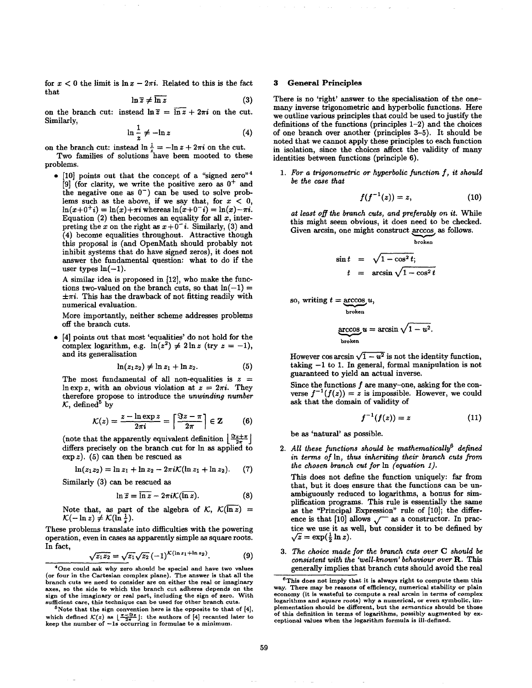for  $x < 0$  the limit is  $\ln x - 2\pi i$ . Related to this is the fact that

$$
\ln \overline{z} \neq \overline{\ln z} \tag{3}
$$

on the branch cut: instead  $\ln \overline{z} = \overline{\ln z} + 2\pi i$  on the cut. Similarly,

$$
\ln\frac{1}{z}\neq -\ln z\tag{4}
$$

on the branch cut: instead  $\ln \frac{1}{z} = -\ln z + 2\pi i$  on the cut. Two families of solutions have been mooted to these

problems.

• [10] points out that the concept of a "signed zero" $4$ [9] (for clarity, we write the positive zero as  $0^+$  and the negative one as  $0^-$ ) can be used to solve problems such as the above, if we say that, for  $x < 0$ ,  $\ln(x+0^+i) = \ln(x)+\pi i$  whereas  $\ln(x+0^-i) = \ln(x)-\pi i$ . Equation (2) then becomes an equality for all  $x$ , interpreting the x on the right as  $x+0$ <sup>-</sup>i. Similarly, (3) and (4) become equalities throughout. Attractive though this proposal is (and OpenMath should probably not inhibit systems that do have signed zeros), it does not answer the fundamental question: what to do if the user types  $ln(-1)$ .

A similar idea is proposed in [12], who make the functions two-valued on the branch cuts, so that  $ln(-1) =$  $\pm\pi i$ . This has the drawback of not fitting readily with numerical evaluation.

More importantly, neither scheme addresses problems off the branch cuts.

• [4] points out that most 'equalities' do not hold for the complex logarithm, e.g.  $\ln(z^2) \neq 2 \ln z$  (try  $z = -1$ ), and its generalisation

$$
\ln(z_1z_2)\neq \ln z_1+\ln z_2.\tag{5}
$$

The most fundamental of all non-equalities is  $z =$ In exp z, with an obvious violation at  $z = 2\pi i$ . They therefore propose to introduce the *unwinding number*   $K$ , defined<sup>5</sup> by

$$
\mathcal{K}(z) = \frac{z - \ln \exp z}{2\pi i} = \left\lceil \frac{\Im z - \pi}{2\pi} \right\rceil \in \mathbb{Z} \tag{6}
$$

(note that the apparently equivalent definition  $\frac{Sz+\pi}{2\pi}$ differs precisely on the branch cut for In as applied to  $\exp z$ ). (5) can then be rescued as

$$
\ln(z_1 z_2) = \ln z_1 + \ln z_2 - 2\pi i \mathcal{K}(\ln z_1 + \ln z_2). \tag{7}
$$

Similarly (3) can be rescued as

$$
\ln \bar{z} = \overline{\ln z} - 2\pi i \mathcal{K}(\overline{\ln z}). \tag{8}
$$

Note that, as part of the algebra of  $K$ ,  $\mathcal{K}(\overline{\ln z})$  =  $\mathcal{K}(-\ln z) \neq \mathcal{K}(\ln \frac{1}{z}).$ 

These problems translate into difficulties with the powering operation, even in cases as apparently simple as square roots. In fact,

$$
\sqrt{z_1 z_2} = \sqrt{z_1} \sqrt{z_2} (-1)^{\mathcal{K}(\ln z_1 + \ln z_2)}.
$$
 (9)

## **3 General Principles**

There is no 'right' answer to the specialisation of the onemany inverse trigonometric and hyperbolic functions. Here we outline various principles that could be used to justify the definitions of the functions (principles 1-2) and the choices of one branch over another (principles 3-5). It should be noted that we cannot apply these principles to each function in isolation, since the choices affect the validity of many identities between functions (principle 6).

*1. For a trigonometric or hyperbolic function f, it should be the case that* 

$$
f(f^{-1}(z)) = z,\t(10)
$$

*at least off the branch cuts, and preferably on it.* While this might seem obvious, it does need to be checked. Given arcsin, one might construct arccos, as follows.

$$
\sin t = \sqrt{1 - \cos^2 t};
$$
  

$$
t = \arcsin \sqrt{1 - \cos^2 t}
$$

so, writing  $t = \arccos u$ broken

$$
\mathop{\rm arccos}_{\text{broken}} u = \arcsin \sqrt{1 - u^2}.
$$

However cos arcsin  $\sqrt{1-u^2}$  is not the identity function, taking  $-1$  to 1. In general, formal manipulation is not guaranteed to yield an actual inverse.

Since the functions  $f$  are many-one, asking for the converse  $f^{-1}(f(z)) = z$  is impossible. However, we could ask that the domain of validity of

$$
f^{-1}(f(z))=z \qquad \qquad (11)
$$

be as 'natural' as possible.

2. All these functions should be mathematically<sup>6</sup> defined *in terms of* In, *thus inheriting their branch cuts from the chosen branch cut for* In *(equation 1).* 

This does not define the function uniquely: far from that, but it does ensure that the functions can be unambiguously reduced to logarithms, a bonus for simplification programs. This rule is essentially the same as the "Principal Expression" rule of [10]; the difference is that [10] allows  $\sqrt{\phantom{a}}$  as a constructor. In practice we use it as well, but consider it to be defined by  $\sqrt{z} = \exp(\frac{1}{2} \ln z).$ 

*3. The choice made for the branch cuts* over C *should be consistent with the 'well-known' behaviour over R.* This generally implies that branch cuts should avoid the real

<sup>4</sup>One could ask why zero should be special and have two values (or four in the Cartesian complex plane). The answer is that all the branch cuts we need to consider are on either the real or imaginary axes, so the side to which the branch cut adheres depends on the sign of the imaginary or real part, including the sign of zero. With sufficient care, this technique can be used for other branch cu

 $5<sup>6</sup>$  Note that the sign convention here is the opposite to that of [4], which defined  $\mathcal{K}(z)$  as  $\lfloor \frac{\pi - \Im z}{2\pi} \rfloor$ : the authors of [4] recanted later to keep the number of -1s occurring in formulae to a minimum.

 $<sup>6</sup>$ This does not imply that it is always right to compute them this</sup> way. There may be reasons of efficiency, numerical stability or plain economy (it is wasteful to compute a real arcsin in terms of complex logarithms and square roots) why a numerical, or even symbolic, implementation should be different, but the *semantics* should be **those**  of this definition in terms of logarithms, possibly augmented by exceptional values when the logarithm formula is ill-defined.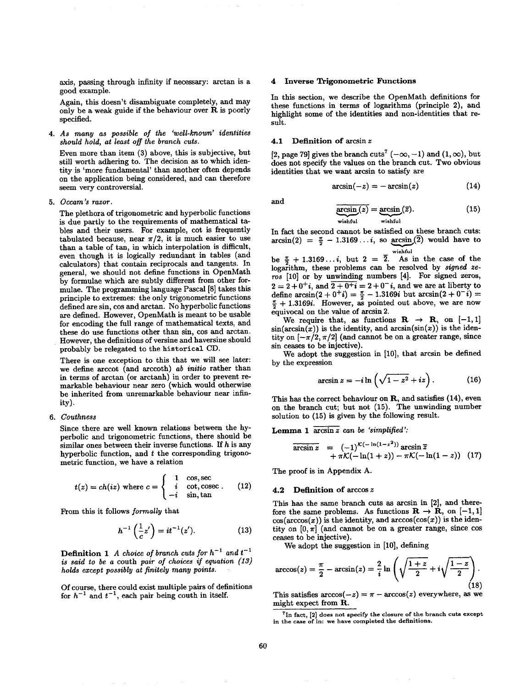axis, passing through infinity if necessary: arctan is a good example.

Again, this doesn't disambiguate completely, and may only be a weak guide if the behaviour over R is poorly specified.

*4. As many as possible of the 'well-known' identities should hold, at least off the branch cuts.* 

Even more than item (3) above, this is subjective, but still worth adhering to. The decision as to which identity is 'more fundamental' than another often depends on the application being considered, and can therefore seem very controversial.

*5. Occam 's razor.* 

The plethora of trigonometric and hyperbolic functions is due partly to the requirements of mathematical tables and their users. For example, cot is frequently tabulated because, near  $\pi/2$ , it is much easier to use than a table of tan, in which interpolation is difficult, even though it is logically redundant in tables (and calculators) that contain reciprocals and tangents. In general, we should not define functions in OpenMath by formulae which axe subtly different from other formulae. The programming language Pascal [8] takes this principle to extremes: the only trigonometric functions defined are sin, cos and axctan. No hyperbolic functions are defined. However, OpenMath is meant to be usable for encoding the full range of mathematical texts, and these do use functions other than sin, cos and arctan. However, the definitions of versine and haversine should probably be relegated to the historical CD.

There is one exception to this that we will see later: we define axccot (and axccoth) *ab initio* rather than in terms of axctan (or arctanh) in order to prevent remaxkable behaviour near zero (which would otherwise be inherited from unremaxkable behaviour near infinity).

## *6. Couthness*

Since there axe well known relations between the hyperbolic and trigonometric functions, there should be similar ones between their inverse functions. If  $h$  is any hyperbolic function, and  $t$  the corresponding trigonometric function, we have a relation

$$
t(z) = ch(iz) \text{ where } c = \begin{cases} 1 & \text{cos, sec} \\ i & \text{cot, cosec} \\ -i & \text{sin, tan} \end{cases}
$$
 (12)

From this it follows *]ormally* that

$$
h^{-1}\left(\frac{1}{c}z'\right) = it^{-1}(z'). \tag{13}
$$

**Definition 1** A choice of branch cuts for  $h^{-1}$  and  $t^{-1}$ *is said to be a* couth *pair of choices if equation. (13) holds except possibly at finitely many points.* 

Of course, there could exist multiple pairs of definitions for  $h^{-1}$  and  $t^{-1}$ , each pair being couth in itself.

## **4 Inverse Trigonometric Functions**

In this section, we describe the OpenMath definitions for these functions in terms of logaxithms (principle 2), and highlight some of the identities and non-identities that result.

## **4.1 Definition of axcsin z**

[2, page 79] gives the branch cuts<sup>7</sup> ( $-\infty$ ,  $-1$ ) and (1,  $\infty$ ), but does not specify the values on the branch cut. Two obvious identities that we want axcsin to satisfy axe

$$
\arcsin(-z) = -\arcsin(z) \tag{14}
$$

and

$$
\underbrace{\arcsin(z)}_{\text{wishful}} = \underbrace{\arcsin(z)}_{\text{wishful}}.
$$
 (15)

In fact the second cannot be satisfied on these branch cuts:  $arcsin(2) = \frac{\pi}{2} - 1.3169...$ *i*, so  $arcsin(\overline{2})$  would have to wishful

be  $\frac{\pi}{6}$  + 1.3169...*i*, but 2 =  $\overline{2}$ . As in the case of the logarithm, these problems can be resolved by *signed zeros* [10] or by unwinding numbers [4]. For signed zeros,  $2 = 2 + 0^+ i$ , and  $2 + 0^+ i = 2 + 0^+ i$ , and we are at liberty to define  $\arcsin(2 + 0^+i) = \frac{\pi}{2} - 1.3169i$  but  $\arcsin(2 + 0^-i) =$  $\frac{\pi}{2}$  + 1.3169*i*. However, as pointed out above, we are now equivocal on the value of axcsin 2.

We require that, as functions  $R \rightarrow R$ , on [-1,1]  $sin(arcsin(x))$  is the identity, and  $arcsin(sin(x))$  is the identity on  $[-\pi/2, \pi/2]$  (and cannot be on a greater range, since sin ceases to be injective).

We adopt the suggestion in [10], that arcsin be defined by the expression

$$
\arcsin z = -i \ln \left( \sqrt{1 - z^2} + iz \right). \tag{16}
$$

This has the correct behaviour on R, and satisfies (14), even on the branch cut; but not (15). The unwinding number solution to (15) is given by the following result.

Lemma 1  $\overline{\arcsin z}$  can be 'simplified':

$$
\overline{\arcsin z} = (-1)^{\mathcal{K}(-\ln(1-z^2))} \arcsin \overline{z} \n+ \pi \mathcal{K}(-\ln(1+z)) - \pi \mathcal{K}(-\ln(1-z))
$$
 (17)

The proof is in Appendix A.

## **4.2 Definition of arccos z**

This has the same branch cuts as axcsin in [2], and therefore the same problems. As functions  $\mathbf{R} \to \mathbf{R}$ , on  $[-1, 1]$  $cos(arccos(x))$  is the identity, and  $arccos(cos(x))$  is the identity on  $[0, \pi]$  (and cannot be on a greater range, since cos ceases to be injective).

We adopt the suggestion in [10], defining

$$
\arccos(z) = \frac{\pi}{2} - \arcsin(z) = \frac{2}{i} \ln \left( \sqrt{\frac{1+z}{2}} + i \sqrt{\frac{1-z}{2}} \right).
$$
\n(18)

This satisfies  $arccos(-z) = \pi - arccos(z)$  everywhere, as we might expect from R.

 $<sup>7</sup>$ In fact,  $[2]$  does not specify the closure of the branch cuts except</sup> in the case of In: we have completed the definitions.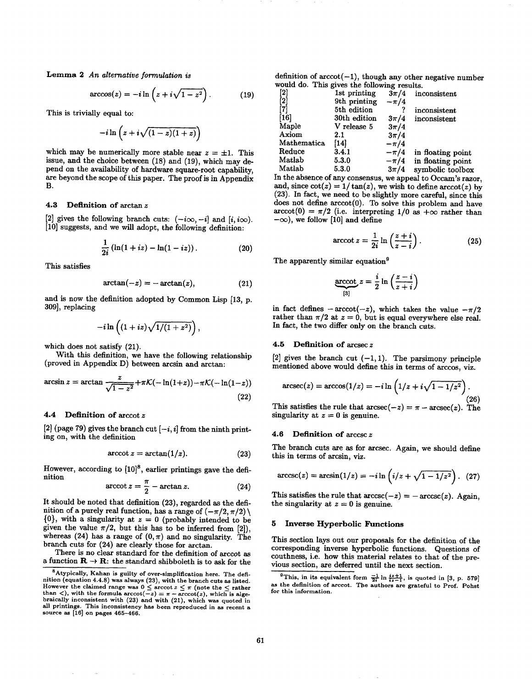Lemma 2 An alternative formulation is Lemma 2 *An alternative formulation is* 

$$
\arccos(z) = -i \ln \left( z + i \sqrt{1 - z^2} \right). \tag{19}
$$

This is trivially equal to:

$$
-i\ln\left(z+i\sqrt{(1-z)(1+z)}\right)
$$

which may be numerically more stable near  $z = \pm 1$ . This issue, and the choice between (18) and (19), which may depend on the availability of hardware square-root capability, are beyond the scope of this paper. The proof is in Appendix are beyond the scope of this paper. The proof is in Appendix

#### $4.3$ Definition of arctan z

[2] gives the following branch cuts:  $(-i\infty, -i]$  and  $[i, i\infty)$ . [10] suggests, and we will adopt, the following definition: [10] suggests, and we will adopt, the following definition:

$$
\frac{1}{2i}\left(\ln(1+iz) - \ln(1-iz)\right). \tag{20}
$$

This satisfies

$$
\arctan(-z) = -\arctan(z),\tag{21}
$$

and is now the definition adopted by Common Lisp [13, p. 309], replacing 309], replacing

$$
-i\ln\left((1+i z)\sqrt{1/(1+z^2)}\right),\,
$$

which does not satisfy (21).

With this definition, we have the following relationship (proved in Appendix D) between arcsin and arctan: (proved in Appendix D) between arcsin and arctan:

$$
\arcsin z = \arctan \frac{z}{\sqrt{1 - z^2}} + \pi \mathcal{K}(-\ln(1+z)) - \pi \mathcal{K}(-\ln(1-z))
$$
\n(22)

## 4.4 Definition of  $arccot z$

[2] (page 79) gives the branch cut  $[-i, i]$  from the ninth printing on, with the definition ing on, with the definition

$$
\arccot z = \arctan(1/z). \tag{23}
$$

However, according to  $[10]^8$ , earlier printings gave the definition

$$
\operatorname{arccot} z = \frac{\pi}{2} - \arctan z. \tag{24}
$$

It should be noted that definition (23), regarded as the definition of a purely real function, has a range of  $(-\pi/2, \pi/2)$  $\{0\}$ , with a singularity at  $z = 0$  (probably intended to be given the value  $\pi/2$ , but this has to be inferred from [2]), whereas (24) has a range of  $(0, \pi)$  and no singularity. The branch cuts for (24) are clearly those for arctan.

There is no clear standard for the definition of arccot as a function  $\mathbf{R} \to \mathbf{R}$ : the standard shibboleth is to ask for the definition of  $arccot(-1)$ , though any other negative number would do. This gives the following results.

| [2]           | 1st printing | $3\pi/4$ | inconsistent      |
|---------------|--------------|----------|-------------------|
| $^{\dagger}2$ | 9th printing | $-\pi/4$ |                   |
| 17            | 5th edition  |          | inconsistent      |
| [16]          | 30th edition | $3\pi/4$ | inconsistent      |
| Maple         | V release 5  | $3\pi/4$ |                   |
| Axiom         | 2.1          | $3\pi/4$ |                   |
| Mathematica   | [14]         | $-\pi/4$ |                   |
| Reduce        | 3.4.1        | $-\pi/4$ | in floating point |
| Matlab        | 5.3.0        | $-\pi/4$ | in floating point |
| Matlab        | 5.3.0        | $3\pi/4$ | symbolic toolbox  |
|               |              |          |                   |

In the absence of any consensus, we appeal to Occam's razor, and, since  $\cot(z) = 1/\tan(z)$ , we wish to define  $\arccot(z)$  by  $(23)$ . In fact, we need to be slightly more careful, since this does not define  $arccot(0)$ . To solve this problem and have  $\arccot(0) = \pi/2$  (i.e. interpreting 1/0 as  $+\infty$  rather than  $-\infty$ ), we follow [10] and define

$$
\operatorname{arccot} z = \frac{1}{2i} \ln \left( \frac{z+i}{z-i} \right). \tag{25}
$$

The apparently similar equation<sup>9</sup> The apparently similar equation 9

-oo), we follow [10] and define

$$
\underbrace{\text{arccot}}_{[3]} z = \frac{i}{2} \ln \left( \frac{z - i}{z + i} \right)
$$

in fact defines  $-\arccot(-z)$ , which takes the value  $-\pi/2$ rather than  $\pi/2$  at  $z=0$ , but is equal everywhere else real. In fact, the two differ only on the branch cuts. In fact, the two differ only on the branch cuts.

## 4.5 Definition of  $\arccos z$

[2] gives the branch cut  $(-1, 1)$ . The parsimony principle mentioned above would define this in terms of arccos, viz. mentioned above would define this in terms of arccos, viz.

$$
\operatorname{arcsec}(z) = \operatorname{arccos}(1/z) = -i \ln \left( 1/z + i \sqrt{1 - 1/z^2} \right).
$$
\n(26)

This satisfies the rule that  $\arccos(c-x) = \pi - \arccos(c)$ . The singularity at  $z=0$  is genuine. singularity at z = 0 is genuine.

**4.6** Definition of  $\arccsc z$ <br>The branch cuts are as for  $\arccos c$ . Again, we should define this in terms of arcsin, viz. this in terms of arcsin, viz.

$$
\arccsc(z) = \arcsin(1/z) = -i\ln\left(i/z + \sqrt{1-1/z^2}\right). \tag{27}
$$

This satisfies the rule that  $arccsc(-z) = -arccsc(z)$ . Again, the singularity at  $z = 0$  is genuine. the singularity at z = 0 is genuine.

# **5 Inverse Hyperbolic Functions**

This section lays out our proposals for the definition of the couthness, i.e. how this material relates to that of the previous section, are deferred until the next section.

(22)

 ${}^{8}$ Atypically, Kahan is guilty of over-simplification here. The definition (equation 4.4.8) was always (23), with the branch cuts as listed.<br>However the claimed range was  $0 \leq \arccot z \leq \pi$  (note the  $\leq$  rather<br>than  $\lt)$ , with the formula  $\arccot(-z) = \pi - \arccot(z)$ , which is algebraically inconsistent with (23) and with (21), which was quoted in all printings. This inconsistency has been reproduced in as recent a<br>source as [16] on pages 465–466.

<sup>&</sup>lt;sup>9</sup>This, in its equivalent form  $\frac{-1}{2i} \ln \frac{i z + 1}{i z - 1}$ , is quoted in [3, p. 579] as the definition of arccot. The authors are grateful to Prof. Pohst for this information.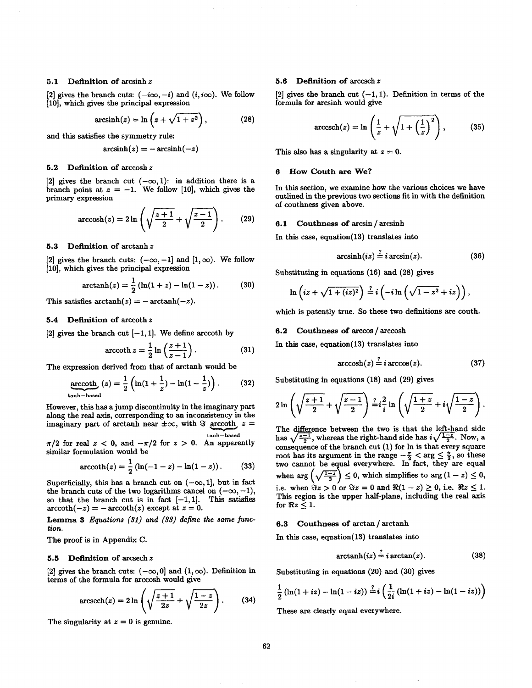## **5.1** Definition of arcsinh **z**

[2] gives the branch cuts:  $(-i\infty, -i)$  and  $(i, i\infty)$ . We follow [10], which gives the principal expression

$$
\operatorname{arcsinh}(z) = \ln\left(z + \sqrt{1 + z^2}\right),\tag{28}
$$

and this satisfies the symmetry rule:

$$
\operatorname{arcsinh}(z) = -\operatorname{arcsinh}(-z)
$$

#### Definition of  $arccosh z$  $5.2$

[2] gives the branch cut  $(-\infty, 1)$ : in addition there is a branch point at  $z = -1$ . We follow [10], which gives the primary expression

$$
\operatorname{arccosh}(z) = 2\ln\left(\sqrt{\frac{z+1}{2}} + \sqrt{\frac{z-1}{2}}\right). \tag{29}
$$

## 5.3 Definition of arctanh z

[2] gives the branch cuts:  $(-\infty, -1]$  and  $[1, \infty)$ . We follow [10], which gives the principal expression

$$
\operatorname{arctanh}(z) = \frac{1}{2} \left( \ln(1+z) - \ln(1-z) \right). \tag{30}
$$

This satisfies  $\arctanh(z) = -\arctanh(-z)$ .

## 5.4 Definition of arccoth z

[2] gives the branch cut  $[-1, 1]$ . We define arccoth by

$$
\operatorname{arccoth} z = \frac{1}{2} \ln \left( \frac{z+1}{z-1} \right). \tag{31}
$$

The expression derived from that of arctanh would be

$$
\operatorname{arccoth}_{\tanh-\text{based}}(z) = \frac{1}{2} \left( \ln(1 + \frac{1}{z}) - \ln(1 - \frac{1}{z}) \right). \tag{32}
$$

However, this has a jump discontinuity in the imaginary part along the real axis, corresponding to an inconsistency in the imaginary part of arctanh near  $\pm \infty$ , with  $\Im$  arccoth  $z =$ tanh-- **based** 

 $\pi/2$  for real  $z < 0$ , and  $-\pi/2$  for  $z > 0$ . An apparently similar formulation would be

$$
\operatorname{arccoth}(z) = \frac{1}{2} \left( \ln(-1 - z) - \ln(1 - z) \right). \tag{33}
$$

Superficially, this has a branch cut on  $(-\infty, 1]$ , but in fact the branch cuts of the two logarithms cancel on  $(-\infty, -1)$ , so that the branch cut is in fact  $[-1, 1]$ . This satisfies  $arccoth(-z) = -\operatorname{arccoth}(z)$  except at  $z = 0$ .

Lemma 3 *Equations (31) and (33) define the same func*tion.

The proof is in Appendix C.

## 5.5 Definition of arcsech z

[2] gives the branch cuts:  $(-\infty, 0]$  and  $(1, \infty)$ . Definition in terms of the formula for arccosh would give

$$
\operatorname{arcsech}(z) = 2\ln\left(\sqrt{\frac{z+1}{2z}} + \sqrt{\frac{1-z}{2z}}\right). \tag{34}
$$

The singularity at  $z = 0$  is genuine.

#### **Definition of arccsch z** 5.6

[2] gives the branch cut  $(-1, 1)$ . Definition in terms of the formula for arcsinh would give

$$
\operatorname{arccsch}(z) = \ln\left(\frac{1}{z} + \sqrt{1 + \left(\frac{1}{z}\right)^2}\right),\tag{35}
$$

This also has a singularity at  $z = 0$ .

#### **6 How Couth are We?**  6

In this section, we examine how the various choices we have outlined in the previous two sections fit in with the definition of couthness given above.

## 6.1 Couthness of arcsin / arcsinh

In this case, equation(13) translates into

$$
\operatorname{arcsinh}(iz) \stackrel{?}{=} i \arcsin(z). \tag{36}
$$

Substituting in equations (16) and (28) gives

$$
\ln\left(iz+\sqrt{1+(iz)^2}\right)\stackrel{?}{=}i\left(-i\ln\left(\sqrt{1-z^2}+iz\right)\right),
$$

which is patently true. So these two definitions are couth.

## 6.2 Couthness of arccos / arccosh

In this case, equation(13) translates into

$$
\operatorname{arccosh}(z) = i \operatorname{arccos}(z). \tag{37}
$$

Substituting in equations (18) and (29) gives

$$
2\ln\left(\sqrt{\frac{z+1}{2}}+\sqrt{\frac{z-1}{2}}\right)\frac{z}{i}i\frac{2}{i}\ln\left(\sqrt{\frac{1+z}{2}}+i\sqrt{\frac{1-z}{2}}\right).
$$

The difference between the two is that the left-hand side has  $\sqrt{\frac{z-1}{2}}$ , whereas the right-hand side has  $i\sqrt{\frac{1-z}{2}}$ . Now, a consequence of the branch cut (1) for In is that every square root has its argument in the range  $-\frac{\pi}{2} < \arg \leq \frac{\pi}{2}$ , so these two cannot be equal everywhere. In fact, they are equal when  $\arg\left(\sqrt{\frac{1-z}{2}}\right) \leq 0$ , which simplifies to  $\arg\left(1-z\right) \leq 0$ , i.e. when  $\Im z > 0$  or  $\Im z = 0$  and  $\Re(1 - z) \ge 0$ , i.e.  $\Re z \le 1$ . This region is the upper half-plane, including the real axis for  $\Re z \leq 1$ .

## 6.3 Couthness of arctan / arctanh

In this case, equation(13) translates into

$$
\operatorname{arctanh}(iz) = i \arctan(z). \tag{38}
$$

Substituting in equations (20) and (30) gives

$$
\frac{1}{2}\left(\ln(1+iz) - \ln(1-iz)\right) \stackrel{?}{=} i\left(\frac{1}{2i}\left(\ln(1+iz) - \ln(1-iz)\right)\right)
$$

These are clearly equal everywhere.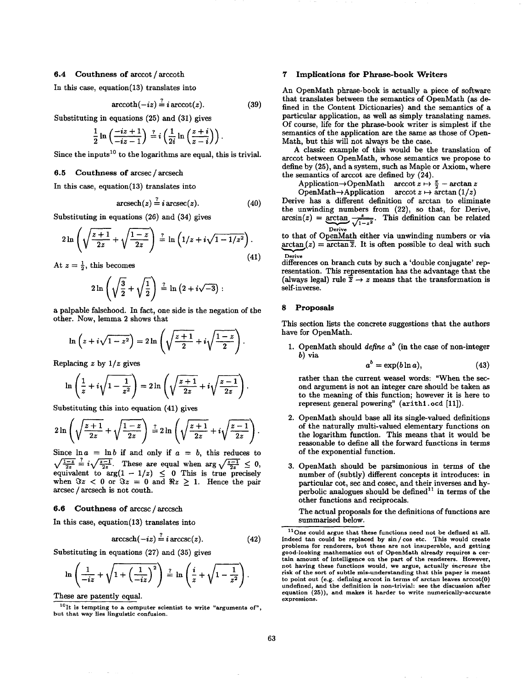# $\mathcal{L}$  continuous of arccot $\mathcal{L}$

 $\sum_{i=1}^{n}$  this case, equation (13) translates into  $\sum_{i=1}^{n}$ 

$$
\operatorname{arccoth}(-iz) \doteq i \operatorname{arccot}(z). \tag{39}
$$

 $S_{\text{max}}$  (25) and (25)

$$
\frac{1}{2}\ln\left(\frac{-iz+1}{-iz-1}\right) \stackrel{?}{=} i\left(\frac{1}{2i}\ln\left(\frac{z+i}{z-i}\right)\right)
$$

 $S_{\text{S}}$  the inputs  $S_{\text{S}}$  is the logarithmic are equal, this is trivial.

# 6.5 Couthness of arcsec  $/$  arcsech<br>In this case, equation(13) translates into

 $\sum_{i=1}^{n}$  the case, equation (13) translates into  $\sum_{i=1}^{n}$ 

$$
\operatorname{arcsech}(z) = i \operatorname{arcsec}(z). \tag{40}
$$

 $S = \frac{1}{4}$  and  $\left(\frac{2}{5}\right)$  and  $\left(\frac{2}{5}\right)$ 

$$
2\ln\left(\sqrt{\frac{z+1}{2z}}+\sqrt{\frac{1-z}{2z}}\right)\stackrel{?}{=}\ln\left(1/z+i\sqrt{1-1/z^2}\right).
$$
\n(41)

At  $z=\frac{1}{2}$ , this becomes

$$
2\ln\left(\sqrt{\frac{3}{2}}+\sqrt{\frac{1}{2}}\right)\stackrel{?}{=}\ln\left(2+i\sqrt{-3}\right):
$$

a palpable falsehood. In fact, one side is the negation of the other. Now, lemma 2 shows that

$$
\ln\left(z+i\sqrt{1-z^2}\right)=2\ln\left(\sqrt{\frac{z+1}{2}}+i\sqrt{\frac{1-z}{2}}\right).
$$

Replacing z by *1/z* gives

$$
\ln\left(\frac{1}{z}+i\sqrt{1-\frac{1}{z^2}}\right)=2\ln\left(\sqrt{\frac{z+1}{2z}}+i\sqrt{\frac{z-1}{2z}}\right).
$$

 $S$  substituting this into equation (11)

$$
2\ln\left(\sqrt{\frac{z+1}{2z}}+\sqrt{\frac{1-z}{2z}}\right)\stackrel{?}{=}2\ln\left(\sqrt{\frac{z+1}{2z}}+i\sqrt{\frac{z-1}{2z}}\right)
$$

Since  $\ln a = \ln b$  if and only if  $a = b$ , this reduces to  $\sqrt{\frac{1-z}{2z}} \cdot i \sqrt{\frac{z-1}{2z}}$ . These are equal when  $\arg \sqrt{\frac{z-1}{2z}} \leq 0$ , equivalent to  $arg(1 - 1/z) \leq 0$  This is true precisely when  $\Im z$  < 0 or  $\Im z = 0$  and  $\Re z \ge 1$ . Hence the pair arcsec / arcsech is not couth. arcsech $\alpha$  is not countered in the counter of  $\alpha$ 

## 6.6 Couthness of arccsc / arccsch

In this case, equation(13) translates into

$$
\operatorname{arccsch}(-iz) \stackrel{i}{=} i \operatorname{arccsc}(z). \tag{42}
$$

Substituting in equations (27) and (35) gives

$$
\ln\left(\frac{1}{-iz}+\sqrt{1+\left(\frac{1}{-iz}\right)^2}\right)\stackrel{?}{=}\ln\left(\frac{i}{z}+\sqrt{1-\frac{1}{z^2}}\right).
$$

These are patently equal.<br> $10_{\text{It}}$  is tempting to a computer scientist to write "arguments of", but that way lies linguistic confusion. but that way lles linguistic confusion.

### 7 **7** Implications for Phrase-book Writers

An OpenMath phrase-book is actually a piece of software that translates between the semantics of OpenMath (as defined in the Content Dictionaries) and the semantics of a particular application, as well as simply translating names. Of course, life for the phrase-book writer is simplest if the semantics of the application are the same as those of Open-Math, but this will not always be the case.

A classic example of this would be the translation of arccot between OpenMath, whose semantics we propose to define by (25), and a system, such as Maple or Axiom, where the semantics of arccot are defined by  $(24)$ .

Application  $\rightarrow$  OpenMath arccot  $z \mapsto \frac{\pi}{2}$  - arctan z OpenMath  $\rightarrow$  Application arccot  $z \mapsto \arctan(1/z)$ 

Derive has a different definition of arctan to eliminate the unwinding numbers from (22), so that, for Derive,  $\arcsin(z) = \arctan \frac{z}{z}$ . This definition can be re- $\sqrt{1-z^2}$ 

to that of OpenMath either via unwinding numbers or via  $\arctan (z) = \overline{\arctan z}$  It is often possible to deal with ,~..~(z) = arctan~. It is often possible to deal with such

Derive differences on branch cuts by such a 'double conjugate' rep-<br>resentation. This representation has the advantage that the (always legal) rule  $\overline{z} \rightarrow z$  means that the transformation is self-inverse.

## **8** Proposals

This section lists the concrete suggestions that the authors have for  $\mathcal{L}_{\mathbf{F}}$  and

1. OpenMath should *define*  $a^b$  (in the case of non-integer *b*) via

$$
a^o = \exp(b \ln a), \tag{43}
$$

rather than the current weasel words: "When the sec-<br>ond argument is not an integer care should be taken as to the meaning of this function; however it is here to  $t_{\text{energy}}$  of this function; however it is  $\frac{1}{t_{\text{entropy}}}\left(11\right)$ represent general powering" (axithl. ocd [11]).

- 2. OpenMath should base all its single-valued definitions of the naturally multi-valued elementary functions on the logarithm function. This means that it would be reasonable to define all the forward functions in terms of the exponential function. of the exponential function.
	- 3. OpenMath should be parsimonious in terms of the particular cot, sec and cosec, and their inverses and hyperbolic analogues should be defined<sup>11</sup> in terms of the other functions and reciprocals.

The actual proposals for the definitions of functions are summarised below.

 $11$ One could argue that these functions need not be defined at all. Indeed tan could be replaced by sin / cos etc. This would create problems for renderers, but these are not insuperable, and getting good-looking mathematics out of OpenMath already requires a certain amount of intelligence on the part of the renderers. However, not having these functions would, we argue, actually increase the risk of the sort of subtle mis-understanding that this paper is meant to point out (e.g. defining arccot in terms of arctan leaves  $arccot(0)$ undefined, and the definition is non-trivial: see the discussion after equation (25)), and makes it harder to write numerically-ac<br>expressions.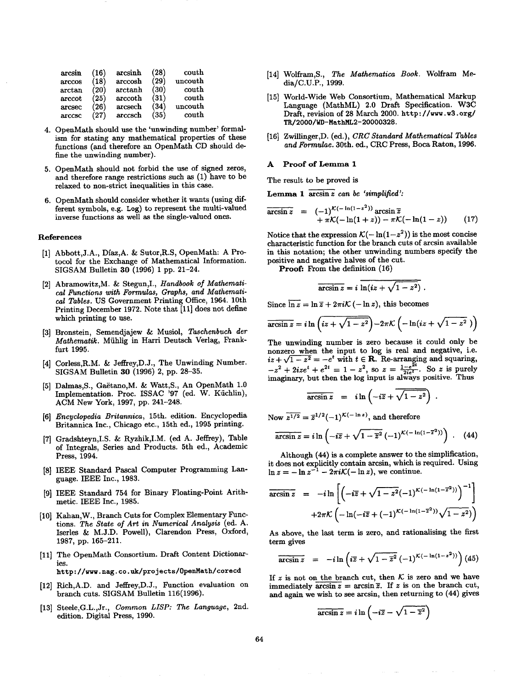| arcsin | (16) | arcsinh | (28) | couth   |  |
|--------|------|---------|------|---------|--|
| arccos | (18) | arccosh | (29) | uncouth |  |
| arctan | (20) | arctanh | (30) | couth   |  |
| arccot | (25) | arccoth | (31) | couth   |  |
| arcsec | (26) | arcsech | (34) | uncouth |  |
| arccsc | (27) | arccsch | (35) | couth   |  |

- 4. OpenMath should use the 'unwinding number' formalism for stating any mathematical properties of these functions (and therefore an OpenMath CD should define the unwinding number).
- 5. OpenMath should not forbid the use of signed zeros, and therefore range restrictions such as  $(1)$  have to be relaxed to non-strict inequalities in this case.
- 6. OpenMath should consider whether it wants (using different symbols, e.g. Log) to represent the multi-valued inverse functions as well as the single-valued ones. inverse functions as well as the single-valued ones.

## References

- [1] Abbott, J.A., Díaz, A. & Sutor, R.S., OpenMath: A Protocol for the Exchange of Mathematical Information.  $SIGSAM$  Bulletin 30 (1996) 1 pp. 21–24.
- [2] Abramowitz, M. & Stegun, I., Handbook of Mathemati $cal$  Functions with Formulas, Graphs, and Mathemati*cal Tables.* US Government Printing Office, 1964. 10th Printing December 1972. Note that [11] does not define which printing to use.
- [3] Bronstein, Semendjajew & Musiol, Taschenbuch der *Aathematik.* Mühlig in Harri Deutsch Verlag, Frank-*Mathematik.* Mfihlig in Harri Deutsch Verlag, Frank-
- [4] Corless, R.M. & Jeffrey, D.J., The Unwinding Number. SIGSAM Bulletin 30 (1996) 2, pp. 28-35.
- SIGSAM Bulletin 30 (1996) 2, pp. 28-35. mplementation. Proc. ISSAC '97 (ed. W. Küchlin), ACM New York, 1997, pp. 241-248.
- [6] Encyclopedia Britannica, 15th. edition. Encyclopedia Britannica Inc., Chicago etc., 15th ed., 1995 printing.
- [7] Gradshteyn, I.S. & Ryzhik, I.M. (ed A. Jeffrey), Table of Integrals, Series and Products. 5th ed., Academic Press, 1994.
- [8] IEEE Standard Pascal Computer Programming Language. IEEE Inc., 1983.
- [9] IEEE Standard 754 for Binary Floating-Point Arithmetic. IEEE Inc., 1985.
- [10] Kahan, W., Branch Cuts for Complex Elementary Functions. The State of Art in Numerical Analysis (ed. A. Iserles & M.J.D. Powell), Clarendon Press, Oxford, 1987, pp. 165–211.
- 1987, pp. 165-211.  $1$  The OpenMath  $C$  OpenMath  $C$  OpenMath  $C$ http://www.nag.co.uk/projects/0penMath/corecd

[12] Rich, A.D. and Jeffrey, D.J., Function evaluation on branch cuts. SIGSAM Bulletin 116(1996).

[13] Steele, G.L., Jr., Common LISP: The Language, 2nd. edition. Digital Press, 1990.

edition. Digital Press, 1990.

- [14] Wolfram,S, *The Mathematica Book.* Wolfram Me-
- [15] World-Wide Web Consortium, Mathematical Markup Language (MathML) 2.0 Draft Specification. W3C Draft, revision of 28 March 2000. http://www.w3.org/ TR/2000/WD-MathML2-20000328.
- [16] Zwillinger, D. (ed.), CRC Standard Mathematical Tables [16] Zwillinger,D. (ed.), *CRC Standard Mathematical Tables and Formulae.* 30th. ed., CRC Press, Boca Raton, 1996.

## Proof of Lemma 1

The result to be proved is

Lemma 1  $\overline{\arcsin z}$  can be 'simplified':

Lemma 1 arcsinz *can be 'simplified':* 

$$
\arcsin z = (-1)^{\mathcal{K}(-\ln(1-z^2))} \arcsin \overline{z} + \pi \mathcal{K}(-\ln(1+z)) - \pi \mathcal{K}(-\ln(1-z)) \qquad (17)
$$

Notice that the expression  $\mathcal{K}(-\ln(1 - z^2))$  is the most concise characteristic function for the branch cuts of arcsin available in this notation; the other unwinding numbers specify the positive and negative halves of the cut.

**Proof:** From the definition (16) **Proof:** From the definition (16)

$$
\overline{\arcsin z} = i \, \ln(iz + \sqrt{1-z^2}) \; .
$$

 $S_{\rm eff} = 1.7$  and  $S_{\rm eff} = 1.7$  and  $S_{\rm eff} = 1.7$  and  $S_{\rm eff} = 1.7$ 

$$
\overline{\arcsin z} = i \ln \left( i z + \sqrt{1 - z^2} \right) - 2\pi \mathcal{K} \left( -\ln(iz + \sqrt{1 - z^2}) \right)
$$

The unwinding number is zero because it could only be nonzero when the input to log is real and negative, i.e.  $\sqrt{1-z^2} = -e^t$  with  $t \in \mathbb{R}$ . Re-arranging and squaring,  $\frac{1}{2} + 2i\pi a^t + a^{2t} = 1 - z^2$  so  $z = \frac{1 - e^{2t}}{s}$  So z is purely  $\frac{1}{2}$   $\frac{1}{2}$   $\frac{1}{2}$   $\frac{1}{2}$   $\frac{1}{2}$   $\frac{1}{2}$   $\frac{1}{2}$   $\frac{1}{2}$   $\frac{1}{2}$   $\frac{1}{2}$   $\frac{1}{2}$   $\frac{1}{2}$   $\frac{1}{2}$   $\frac{1}{2}$   $\frac{1}{2}$   $\frac{1}{2}$   $\frac{1}{2}$   $\frac{1}{2}$   $\frac{1}{2}$   $\frac{1}{2}$   $\frac{1}{2}$   $\frac{1}{2}$ 

$$
\arcsin z = i \ln \left(-i \overline{z} + \overline{\sqrt{1 - z^2}}\right).
$$

Now  $\overline{z^{1/2}} = \overline{z}^{1/2}(-1)^{\mathcal{K}(-\ln z)}$ , and therefore  $N = 1/2$  and therefore  $\mathcal{L} = 1/2$  ( $\mathcal{L} = 1/2$ ), and therefore  $\mathcal{L} = 1/2$ 

$$
\overline{\arcsin z} = i \ln \left( -i \overline{z} + \sqrt{1 - \overline{z}^2} \left( -1 \right)^{\mathcal{K}(-\ln(1-\overline{z}^2))} \right) \ . \tag{44}
$$

 $\det$  explicitly contain arcsin, which is required. Using  $\epsilon = -\ln z^{-1} - 2\pi i \mathcal{K}(-\ln z)$ , we continue.  $\mathcal{I} = \mathcal{I} \cup \mathcal{I}$ , we continue that  $\mathcal{I} = \mathcal{I} \cup \mathcal{I}$ 

$$
\overline{\arcsin z} = -i \ln \left[ \left( -i \overline{z} + \sqrt{1 - z^2} (-1)^{\mathcal{K}(-\ln(1 - \overline{z}^2))} \right)^{-1} \right]
$$

$$
+ 2\pi \mathcal{K} \left( -\ln(-i \overline{z} + (-1)^{\mathcal{K}(-\ln(1 - \overline{z}^2))} \sqrt{1 - z^2}) \right)
$$

As above, the last term is zero, and rationalising the first

$$
\arcsin z = -i \ln \left( i \overline{z} + \sqrt{1 - \overline{z}^2} \ (-1)^{\mathcal{K}(-\ln(1-z^2))} \right) (45)
$$

If z is not on the branch cut, then K is zero and we have<br>immediately  $\arcsin z = \arcsin \overline{z}$ . If z is on the branch cut, and again we wish to see arcsin, then returning to  $(44)$  gives  $\alpha$  and  $\alpha$  arcsining to  $\alpha$  to see arcsining to (44) gives to (44) gives to (44) gives to (44) gives to (44) gives the see arcsining to (44) gives the see arcsining to (44) gives the see arcsining to (44) gives the se

$$
\overline{\arcsin z} = i \ln \left( -i \overline{z} - \sqrt{1 - \overline{z}^2} \right)
$$